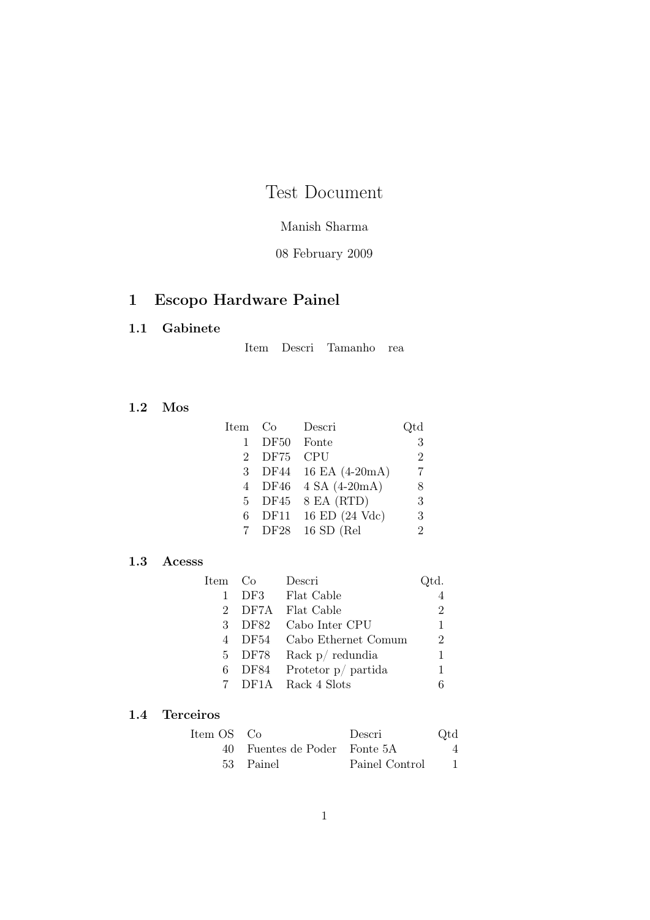# Test Document

### Manish Sharma

### 08 February 2009

## 1 Escopo Hardware Painel

#### 1.1 Gabinete

Item Descri Tamanho rea

#### 1.2 Mos

| Item           | Co          | Descri          | Qtd            |
|----------------|-------------|-----------------|----------------|
|                | <b>DF50</b> | Fonte           | 3              |
| $\overline{2}$ | <b>DF75</b> | <b>CPU</b>      | $\overline{2}$ |
| $\mathcal{R}$  | DF44        | 16 EA (4-20mA)  |                |
| 4              | DF46        | $4 SA (4-20mA)$ | 8              |
| 5.             | DF45        | 8 EA (RTD)      | 3              |
| 6              | DF11        | 16 ED (24 Vdc)  | 3              |
|                | DF28        | $16$ SD (Rel    | 2              |

#### 1.3 Acesss

| Item Co |        | Descri                | td.            |
|---------|--------|-----------------------|----------------|
| 1       |        | DF3 Flat Cable        |                |
|         |        | 2 DF7A Flat Cable     | $\overline{2}$ |
|         | 3 DF82 | Cabo Inter CPU        | 1              |
|         | 4 DF54 | Cabo Ethernet Comum   | $\overline{2}$ |
|         | 5 DF78 | Rack $p/$ redundia    | 1              |
| 6       | DF84   | Protetor $p/$ partida | 1              |
|         |        | 7 DF1A Rack 4 Slots   |                |

#### 1.4 Terceiros

| Item OS Co |                              | Descri         | Qtd |
|------------|------------------------------|----------------|-----|
|            | 40 Fuentes de Poder Fonte 5A |                |     |
|            | 53 Painel                    | Painel Control |     |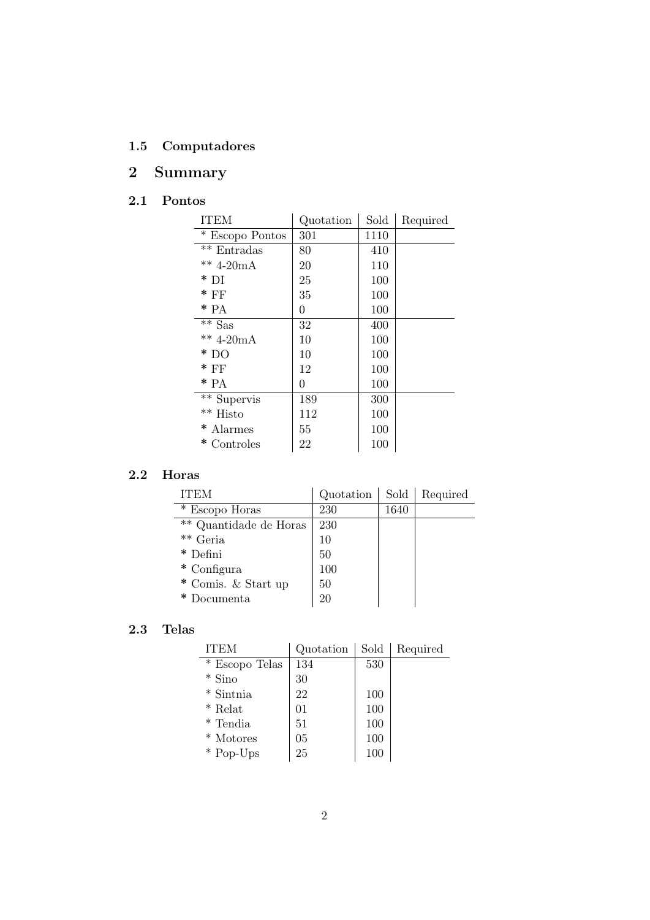## 1.5 Computadores

# 2 Summary

## 2.1 Pontos

| <b>ITEM</b>              | Quotation | Sold | Required |
|--------------------------|-----------|------|----------|
| * Escopo Pontos          | 301       | 1110 |          |
| $**$ Entradas            | 80        | 410  |          |
| ** $4-20mA$              | 20        | 110  |          |
| $*$ DI                   | 25        | 100  |          |
| $*$ FF                   | 35        | 100  |          |
| $*$ PA                   | 0         | 100  |          |
| $*\$ Sas                 | 32        | 400  |          |
| $** 4-20mA$              | 10        | 100  |          |
| $*$ DO                   | 10        | 100  |          |
| $*$ FF                   | 12        | 100  |          |
| $*$ PA                   | 0         | 100  |          |
| $\overline{**}$ Supervis | 189       | 300  |          |
| $\rm ^{\ast\ast}$ Histo  | 112       | 100  |          |
| * Alarmes                | 55        | 100  |          |
| *<br>Controles           | 22        | 100  |          |

### 2.2 Horas

| ITEM                   | Quotation | Sold | Required |
|------------------------|-----------|------|----------|
| * Escopo Horas         | 230       | 1640 |          |
| ** Quantidade de Horas | 230       |      |          |
| ** Geria               | 10        |      |          |
| $*$ Defini             | 50        |      |          |
| $*$ Configura          | 100       |      |          |
| * Comis. & Start up    | 50        |      |          |
| )ocumenta              | 20        |      |          |

## 2.3 Telas

| <b>ITEM</b>    | Quotation      | Sold | Required |
|----------------|----------------|------|----------|
| * Escopo Telas | 134            | 530  |          |
| $*$ Sino       | 30             |      |          |
| * Sintnia      | 22             | 100  |          |
| $*$ Relat      | 0 <sub>1</sub> | 100  |          |
| * Tendia       | 51             | 100  |          |
| * Motores      | 05             | 100  |          |
| * Pop-Ups      | 25             | 100  |          |